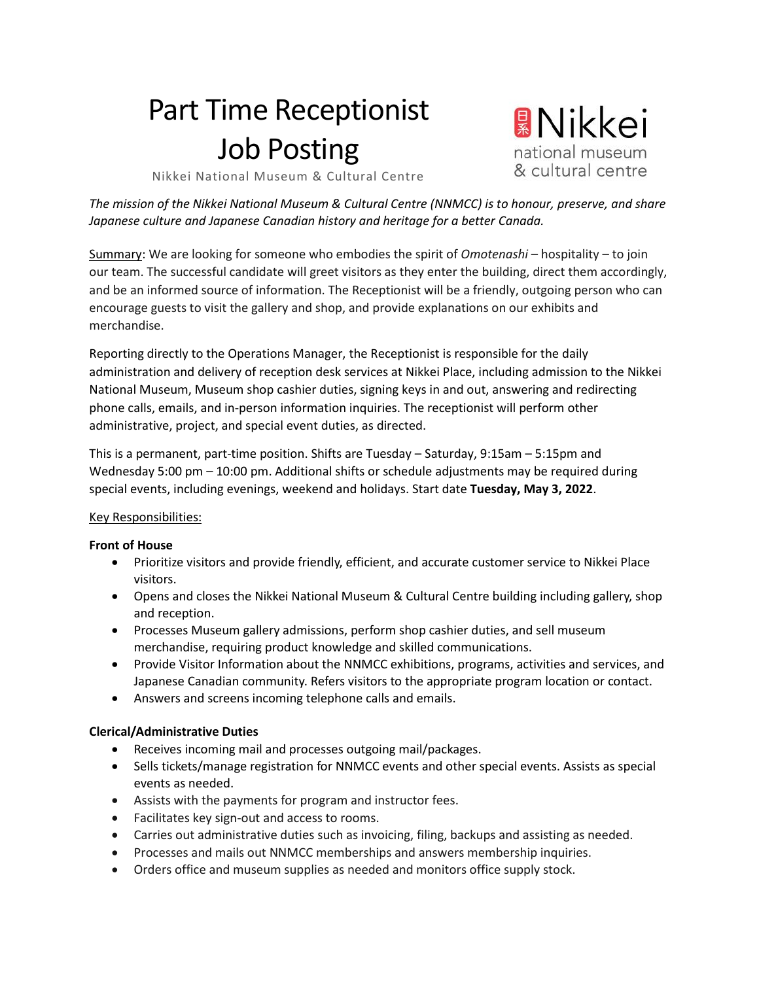# Part Time Receptionist Job Posting

**Wikkei** national museum & cultural centre

Nikkei National Museum & Cultural Centre

*The mission of the Nikkei National Museum & Cultural Centre (NNMCC) is to honour, preserve, and share Japanese culture and Japanese Canadian history and heritage for a better Canada.*

Summary: We are looking for someone who embodies the spirit of *Omotenashi* – hospitality – to join our team. The successful candidate will greet visitors as they enter the building, direct them accordingly, and be an informed source of information. The Receptionist will be a friendly, outgoing person who can encourage guests to visit the gallery and shop, and provide explanations on our exhibits and merchandise.

Reporting directly to the Operations Manager, the Receptionist is responsible for the daily administration and delivery of reception desk services at Nikkei Place, including admission to the Nikkei National Museum, Museum shop cashier duties, signing keys in and out, answering and redirecting phone calls, emails, and in-person information inquiries. The receptionist will perform other administrative, project, and special event duties, as directed.

This is a permanent, part-time position. Shifts are Tuesday – Saturday, 9:15am – 5:15pm and Wednesday 5:00 pm – 10:00 pm. Additional shifts or schedule adjustments may be required during special events, including evenings, weekend and holidays. Start date **Tuesday, May 3, 2022**.

#### Key Responsibilities:

#### **Front of House**

- Prioritize visitors and provide friendly, efficient, and accurate customer service to Nikkei Place visitors.
- Opens and closes the Nikkei National Museum & Cultural Centre building including gallery, shop and reception.
- Processes Museum gallery admissions, perform shop cashier duties, and sell museum merchandise, requiring product knowledge and skilled communications.
- Provide Visitor Information about the NNMCC exhibitions, programs, activities and services, and Japanese Canadian community. Refers visitors to the appropriate program location or contact.
- Answers and screens incoming telephone calls and emails.

#### **Clerical/Administrative Duties**

- Receives incoming mail and processes outgoing mail/packages.
- Sells tickets/manage registration for NNMCC events and other special events. Assists as special events as needed.
- Assists with the payments for program and instructor fees.
- Facilitates key sign-out and access to rooms.
- Carries out administrative duties such as invoicing, filing, backups and assisting as needed.
- Processes and mails out NNMCC memberships and answers membership inquiries.
- Orders office and museum supplies as needed and monitors office supply stock.